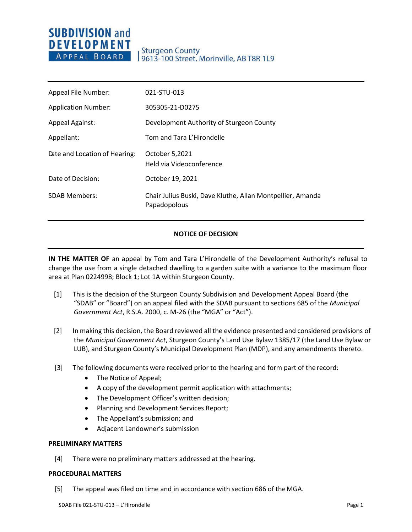# **SUBDIVISION and DEVELOPMENT** APPEAL BOARD

| Appeal File Number:           | 021-STU-013                                                                |
|-------------------------------|----------------------------------------------------------------------------|
| <b>Application Number:</b>    | 305305-21-D0275                                                            |
| <b>Appeal Against:</b>        | Development Authority of Sturgeon County                                   |
| Appellant:                    | Tom and Tara L'Hirondelle                                                  |
| Date and Location of Hearing: | October 5,2021<br>Held via Videoconference                                 |
| Date of Decision:             | October 19, 2021                                                           |
| <b>SDAB Members:</b>          | Chair Julius Buski, Dave Kluthe, Allan Montpellier, Amanda<br>Papadopolous |

# **NOTICE OF DECISION**

**IN THE MATTER OF** an appeal by Tom and Tara L'Hirondelle of the Development Authority's refusal to change the use from a single detached dwelling to a garden suite with a variance to the maximum floor area at Plan 0224998; Block 1; Lot 1A within Sturgeon County.

- [1] This is the decision of the Sturgeon County Subdivision and Development Appeal Board (the "SDAB" or "Board") on an appeal filed with the SDAB pursuant to sections 685 of the *Municipal Government Act*, R.S.A. 2000, c. M-26 (the "MGA" or "Act").
- [2] In making this decision, the Board reviewed all the evidence presented and considered provisions of the *Municipal Government Act*, Sturgeon County's Land Use Bylaw 1385/17 (the Land Use Bylaw or LUB), and Sturgeon County's Municipal Development Plan (MDP), and any amendments thereto.
- [3] The following documents were received prior to the hearing and form part of the record:
	- The Notice of Appeal;
	- A copy of the development permit application with attachments;
	- The Development Officer's written decision;
	- Planning and Development Services Report;
	- The Appellant's submission; and
	- Adjacent Landowner's submission

## **PRELIMINARY MATTERS**

[4] There were no preliminary matters addressed at the hearing.

## **PROCEDURAL MATTERS**

[5] The appeal was filed on time and in accordance with section 686 of theMGA.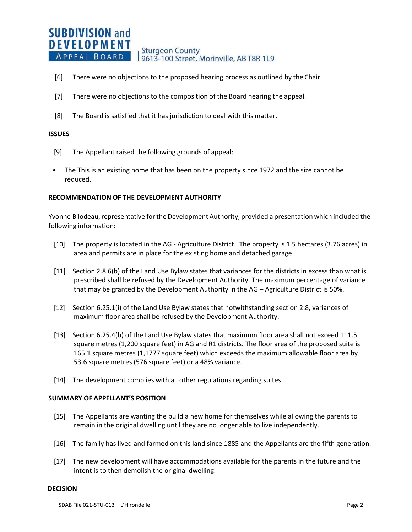#### **SUBDIVISION and DEVELOPMENT Sturgeon County** APPEAL BOARD 9613-100 Street, Morinville, AB T8R 1L9

- [6] There were no objections to the proposed hearing process as outlined by the Chair.
- [7] There were no objections to the composition of the Board hearing the appeal.
- [8] The Board is satisfied that it has jurisdiction to deal with this matter.

## **ISSUES**

- [9] The Appellant raised the following grounds of appeal:
- The This is an existing home that has been on the property since 1972 and the size cannot be reduced.

#### **RECOMMENDATION OF THE DEVELOPMENT AUTHORITY**

Yvonne Bilodeau, representative for the Development Authority, provided a presentation which included the following information:

- [10] The property is located in the AG Agriculture District. The property is 1.5 hectares (3.76 acres) in area and permits are in place for the existing home and detached garage.
- [11] Section 2.8.6(b) of the Land Use Bylaw states that variances for the districts in excess than what is prescribed shall be refused by the Development Authority. The maximum percentage of variance that may be granted by the Development Authority in the AG – Agriculture District is 50%.
- [12] Section 6.25.1(i) of the Land Use Bylaw states that notwithstanding section 2.8, variances of maximum floor area shall be refused by the Development Authority.
- [13] Section 6.25.4(b) of the Land Use Bylaw states that maximum floor area shall not exceed 111.5 square metres (1,200 square feet) in AG and R1 districts. The floor area of the proposed suite is 165.1 square metres (1,1777 square feet) which exceeds the maximum allowable floor area by 53.6 square metres (576 square feet) or a 48% variance.
- [14] The development complies with all other regulations regarding suites.

#### **SUMMARY OF APPELLANT'S POSITION**

- [15] The Appellants are wanting the build a new home for themselves while allowing the parents to remain in the original dwelling until they are no longer able to live independently.
- [16] The family has lived and farmed on this land since 1885 and the Appellants are the fifth generation.
- [17] The new development will have accommodations available for the parents in the future and the intent is to then demolish the original dwelling.

#### **DECISION**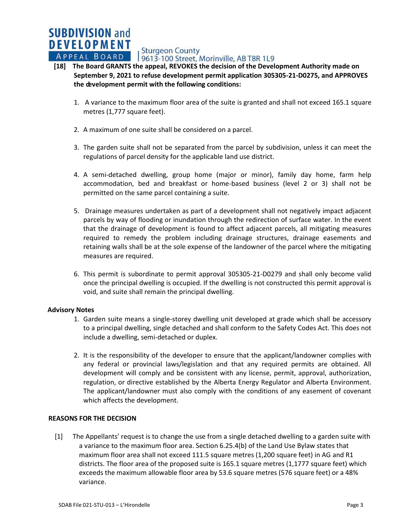APPEAL BOARD | Sturgeon County<br>APPEAL BOARD | 9613-100 Street, Morinville, AB T8R 1L9

# **[18] The Board GRANTS the appeal, REVOKES the decision of the Development Authority made on September 9, 2021 to refuse development permit application 305305-21-D0275, and APPROVES the development permit with the following conditions:**

- 1. A variance to the maximum floor area of the suite is granted and shall not exceed 165.1 square metres (1,777 square feet).
- 2. A maximum of one suite shall be considered on a parcel.
- 3. The garden suite shall not be separated from the parcel by subdivision, unless it can meet the regulations of parcel density for the applicable land use district.
- 4. A semi-detached dwelling, group home (major or minor), family day home, farm help accommodation, bed and breakfast or home-based business (level 2 or 3) shall not be permitted on the same parcel containing a suite.
- 5. Drainage measures undertaken as part of a development shall not negatively impact adjacent parcels by way of flooding or inundation through the redirection of surface water. In the event that the drainage of development is found to affect adjacent parcels, all mitigating measures required to remedy the problem including drainage structures, drainage easements and retaining walls shall be at the sole expense of the landowner of the parcel where the mitigating measures are required.
- 6. This permit is subordinate to permit approval 305305-21-D0279 and shall only become valid once the principal dwelling is occupied. If the dwelling is not constructed this permit approval is void, and suite shall remain the principal dwelling.

## **Advisory Notes**

**SUBDIVISION and DEVELOPMENT** 

- 1. Garden suite means a single-storey dwelling unit developed at grade which shall be accessory to a principal dwelling, single detached and shall conform to the Safety Codes Act. This does not include a dwelling, semi-detached or duplex.
- 2. It is the responsibility of the developer to ensure that the applicant/landowner complies with any federal or provincial laws/legislation and that any required permits are obtained. All development will comply and be consistent with any license, permit, approval, authorization, regulation, or directive established by the Alberta Energy Regulator and Alberta Environment. The applicant/landowner must also comply with the conditions of any easement of covenant which affects the development.

## **REASONS FOR THE DECISION**

[1] The Appellants' request is to change the use from a single detached dwelling to a garden suite with a variance to the maximum floor area. Section 6.25.4(b) of the Land Use Bylaw states that maximum floor area shall not exceed 111.5 square metres (1,200 square feet) in AG and R1 districts. The floor area of the proposed suite is 165.1 square metres (1,1777 square feet) which exceeds the maximum allowable floor area by 53.6 square metres (576 square feet) or a 48% variance.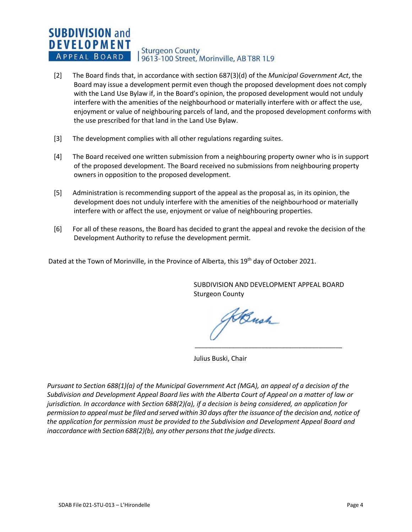#### **SUBDIVISION and DEVELOPMENT Sturgeon County** APPEAL BOARD 9613-100 Street, Morinville, AB T8R 1L9

- [2] The Board finds that, in accordance with section 687(3)(d) of the *Municipal Government Act*, the Board may issue a development permit even though the proposed development does not comply with the Land Use Bylaw if, in the Board's opinion, the proposed development would not unduly interfere with the amenities of the neighbourhood or materially interfere with or affect the use, enjoyment or value of neighbouring parcels of land, and the proposed development conforms with the use prescribed for that land in the Land Use Bylaw.
- [3] The development complies with all other regulations regarding suites.
- [4] The Board received one written submission from a neighbouring property owner who is in support of the proposed development. The Board received no submissions from neighbouring property owners in opposition to the proposed development.
- [5] Administration is recommending support of the appeal as the proposal as, in its opinion, the development does not unduly interfere with the amenities of the neighbourhood or materially interfere with or affect the use, enjoyment or value of neighbouring properties.
- [6] For all of these reasons, the Board has decided to grant the appeal and revoke the decision of the Development Authority to refuse the development permit.

Dated at the Town of Morinville, in the Province of Alberta, this 19<sup>th</sup> day of October 2021.

SUBDIVISION AND DEVELOPMENT APPEAL BOARD Sturgeon County

Haush \_\_\_\_\_\_\_\_\_\_\_\_\_\_\_\_\_\_\_\_\_\_\_\_\_\_\_\_\_\_\_\_\_\_\_\_\_\_\_\_\_\_\_\_

Julius Buski, Chair

*Pursuant to Section 688(1)(a) of the Municipal Government Act (MGA), an appeal of a decision of the Subdivision and Development Appeal Board lies with the Alberta Court of Appeal on a matter of law or jurisdiction. In accordance with Section 688(2)(a), if a decision is being considered, an application for* permission to appeal must be filed and served within 30 days after the issuance of the decision and, notice of *the application for permission must be provided to the Subdivision and Development Appeal Board and inaccordance with Section 688(2)(b), any other personsthat the judge directs.*